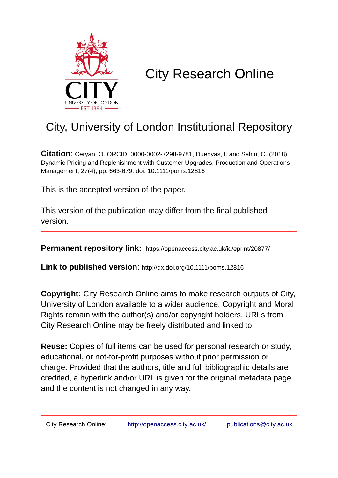

# City Research Online

## City, University of London Institutional Repository

**Citation**: Ceryan, O. ORCID: 0000-0002-7298-9781, Duenyas, I. and Sahin, O. (2018). Dynamic Pricing and Replenishment with Customer Upgrades. Production and Operations Management, 27(4), pp. 663-679. doi: 10.1111/poms.12816

This is the accepted version of the paper.

This version of the publication may differ from the final published version.

**Permanent repository link:** https://openaccess.city.ac.uk/id/eprint/20877/

**Link to published version**: http://dx.doi.org/10.1111/poms.12816

**Copyright:** City Research Online aims to make research outputs of City, University of London available to a wider audience. Copyright and Moral Rights remain with the author(s) and/or copyright holders. URLs from City Research Online may be freely distributed and linked to.

**Reuse:** Copies of full items can be used for personal research or study, educational, or not-for-profit purposes without prior permission or charge. Provided that the authors, title and full bibliographic details are credited, a hyperlink and/or URL is given for the original metadata page and the content is not changed in any way.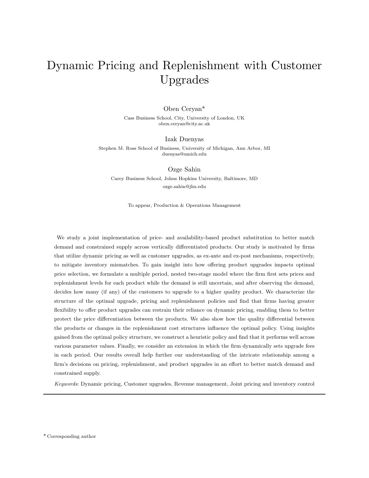## Dynamic Pricing and Replenishment with Customer Upgrades

## Oben Ceryan\*

Cass Business School, City, University of London, UK oben.ceryan@city.ac.uk

#### Izak Duenyas

Stephen M. Ross School of Business, University of Michigan, Ann Arbor, MI duenyas@umich.edu

Ozge Sahin

Carey Business School, Johns Hopkins University, Baltimore, MD ozge.sahin@jhu.edu

To appear, Production & Operations Management

We study a joint implementation of price- and availability-based product substitution to better match demand and constrained supply across vertically differentiated products. Our study is motivated by firms that utilize dynamic pricing as well as customer upgrades, as ex-ante and ex-post mechanisms, respectively, to mitigate inventory mismatches. To gain insight into how offering product upgrades impacts optimal price selection, we formulate a multiple period, nested two-stage model where the firm first sets prices and replenishment levels for each product while the demand is still uncertain, and after observing the demand, decides how many (if any) of the customers to upgrade to a higher quality product. We characterize the structure of the optimal upgrade, pricing and replenishment policies and find that firms having greater flexibility to offer product upgrades can restrain their reliance on dynamic pricing, enabling them to better protect the price differentiation between the products. We also show how the quality differential between the products or changes in the replenishment cost structures influence the optimal policy. Using insights gained from the optimal policy structure, we construct a heuristic policy and find that it performs well across various parameter values. Finally, we consider an extension in which the firm dynamically sets upgrade fees in each period. Our results overall help further our understanding of the intricate relationship among a firm's decisions on pricing, replenishment, and product upgrades in an effort to better match demand and constrained supply.

Keywords: Dynamic pricing, Customer upgrades, Revenue management, Joint pricing and inventory control

\* Corresponding author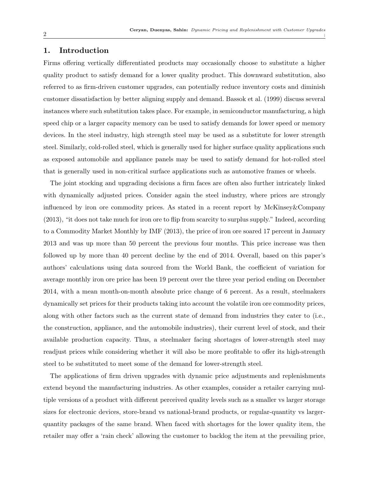## 1. Introduction

Firms offering vertically differentiated products may occasionally choose to substitute a higher quality product to satisfy demand for a lower quality product. This downward substitution, also referred to as firm-driven customer upgrades, can potentially reduce inventory costs and diminish customer dissatisfaction by better aligning supply and demand. Bassok et al. (1999) discuss several instances where such substitution takes place. For example, in semiconductor manufacturing, a high speed chip or a larger capacity memory can be used to satisfy demands for lower speed or memory devices. In the steel industry, high strength steel may be used as a substitute for lower strength steel. Similarly, cold-rolled steel, which is generally used for higher surface quality applications such as exposed automobile and appliance panels may be used to satisfy demand for hot-rolled steel that is generally used in non-critical surface applications such as automotive frames or wheels.

The joint stocking and upgrading decisions a firm faces are often also further intricately linked with dynamically adjusted prices. Consider again the steel industry, where prices are strongly influenced by iron ore commodity prices. As stated in a recent report by McKinsey&Company (2013), "it does not take much for iron ore to flip from scarcity to surplus supply." Indeed, according to a Commodity Market Monthly by IMF (2013), the price of iron ore soared 17 percent in January 2013 and was up more than 50 percent the previous four months. This price increase was then followed up by more than 40 percent decline by the end of 2014. Overall, based on this paper's authors' calculations using data sourced from the World Bank, the coefficient of variation for average monthly iron ore price has been 19 percent over the three year period ending on December 2014, with a mean month-on-month absolute price change of 6 percent. As a result, steelmakers dynamically set prices for their products taking into account the volatile iron ore commodity prices, along with other factors such as the current state of demand from industries they cater to (i.e., the construction, appliance, and the automobile industries), their current level of stock, and their available production capacity. Thus, a steelmaker facing shortages of lower-strength steel may readjust prices while considering whether it will also be more profitable to offer its high-strength steel to be substituted to meet some of the demand for lower-strength steel.

The applications of firm driven upgrades with dynamic price adjustments and replenishments extend beyond the manufacturing industries. As other examples, consider a retailer carrying multiple versions of a product with different perceived quality levels such as a smaller vs larger storage sizes for electronic devices, store-brand vs national-brand products, or regular-quantity vs largerquantity packages of the same brand. When faced with shortages for the lower quality item, the retailer may offer a 'rain check' allowing the customer to backlog the item at the prevailing price,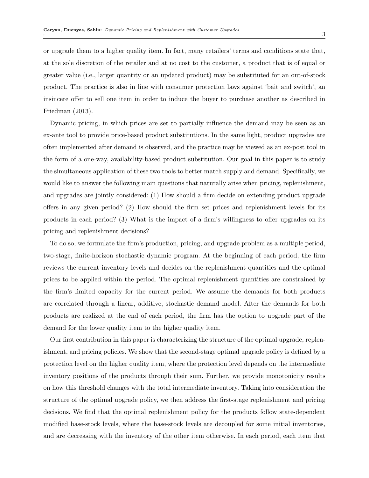or upgrade them to a higher quality item. In fact, many retailers' terms and conditions state that, at the sole discretion of the retailer and at no cost to the customer, a product that is of equal or greater value (i.e., larger quantity or an updated product) may be substituted for an out-of-stock product. The practice is also in line with consumer protection laws against 'bait and switch', an insincere offer to sell one item in order to induce the buyer to purchase another as described in Friedman (2013).

Dynamic pricing, in which prices are set to partially influence the demand may be seen as an ex-ante tool to provide price-based product substitutions. In the same light, product upgrades are often implemented after demand is observed, and the practice may be viewed as an ex-post tool in the form of a one-way, availability-based product substitution. Our goal in this paper is to study the simultaneous application of these two tools to better match supply and demand. Specifically, we would like to answer the following main questions that naturally arise when pricing, replenishment, and upgrades are jointly considered: (1) How should a firm decide on extending product upgrade offers in any given period? (2) How should the firm set prices and replenishment levels for its products in each period? (3) What is the impact of a firm's willingness to offer upgrades on its pricing and replenishment decisions?

To do so, we formulate the firm's production, pricing, and upgrade problem as a multiple period, two-stage, finite-horizon stochastic dynamic program. At the beginning of each period, the firm reviews the current inventory levels and decides on the replenishment quantities and the optimal prices to be applied within the period. The optimal replenishment quantities are constrained by the firm's limited capacity for the current period. We assume the demands for both products are correlated through a linear, additive, stochastic demand model. After the demands for both products are realized at the end of each period, the firm has the option to upgrade part of the demand for the lower quality item to the higher quality item.

Our first contribution in this paper is characterizing the structure of the optimal upgrade, replenishment, and pricing policies. We show that the second-stage optimal upgrade policy is defined by a protection level on the higher quality item, where the protection level depends on the intermediate inventory positions of the products through their sum. Further, we provide monotonicity results on how this threshold changes with the total intermediate inventory. Taking into consideration the structure of the optimal upgrade policy, we then address the first-stage replenishment and pricing decisions. We find that the optimal replenishment policy for the products follow state-dependent modified base-stock levels, where the base-stock levels are decoupled for some initial inventories, and are decreasing with the inventory of the other item otherwise. In each period, each item that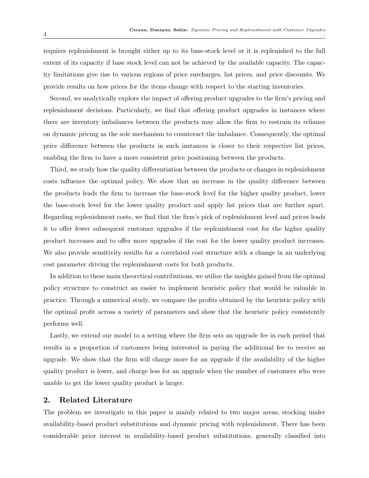requires replenishment is brought either up to its base-stock level or it is replenished to the full extent of its capacity if base stock level can not be achieved by the available capacity. The capacity limitations give rise to various regions of price surcharges, list prices, and price discounts. We provide results on how prices for the items change with respect to the starting inventories.

Second, we analytically explore the impact of offering product upgrades to the firm's pricing and replenishment decisions. Particularly, we find that offering product upgrades in instances where there are inventory imbalances between the products may allow the firm to restrain its reliance on dynamic pricing as the sole mechanism to counteract the imbalance. Consequently, the optimal price difference between the products in such instances is closer to their respective list prices, enabling the firm to have a more consistent price positioning between the products.

Third, we study how the quality differentiation between the products or changes in replenishment costs influence the optimal policy. We show that an increase in the quality difference between the products leads the firm to increase the base-stock level for the higher quality product, lower the base-stock level for the lower quality product and apply list prices that are further apart. Regarding replenishment costs, we find that the firm's pick of replenishment level and prices leads it to offer fewer subsequent customer upgrades if the replenishment cost for the higher quality product increases and to offer more upgrades if the cost for the lower quality product increases. We also provide sensitivity results for a correlated cost structure with a change in an underlying cost parameter driving the replenishment costs for both products.

In addition to these main theoretical contributions, we utilize the insights gained from the optimal policy structure to construct an easier to implement heuristic policy that would be valuable in practice. Through a numerical study, we compare the profits obtained by the heuristic policy with the optimal profit across a variety of parameters and show that the heuristic policy consistently performs well.

Lastly, we extend our model to a setting where the firm sets an upgrade fee in each period that results in a proportion of customers being interested in paying the additional fee to receive an upgrade. We show that the firm will charge more for an upgrade if the availability of the higher quality product is lower, and charge less for an upgrade when the number of customers who were unable to get the lower quality product is larger.

#### 2. Related Literature

The problem we investigate in this paper is mainly related to two major areas, stocking under availability-based product substitutions and dynamic pricing with replenishment. There has been considerable prior interest in availability-based product substitutions, generally classified into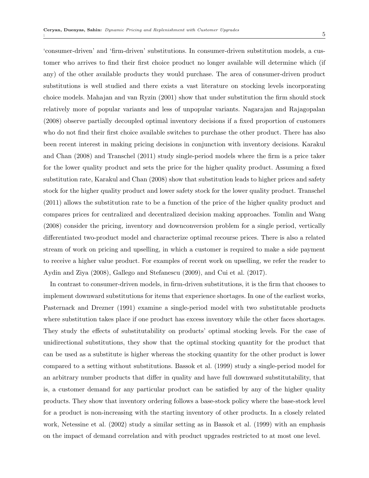'consumer-driven' and 'firm-driven' substitutions. In consumer-driven substitution models, a customer who arrives to find their first choice product no longer available will determine which (if any) of the other available products they would purchase. The area of consumer-driven product substitutions is well studied and there exists a vast literature on stocking levels incorporating choice models. Mahajan and van Ryzin (2001) show that under substitution the firm should stock relatively more of popular variants and less of unpopular variants. Nagarajan and Rajagopalan (2008) observe partially decoupled optimal inventory decisions if a fixed proportion of customers who do not find their first choice available switches to purchase the other product. There has also been recent interest in making pricing decisions in conjunction with inventory decisions. Karakul and Chan (2008) and Transchel (2011) study single-period models where the firm is a price taker for the lower quality product and sets the price for the higher quality product. Assuming a fixed substitution rate, Karakul and Chan (2008) show that substitution leads to higher prices and safety stock for the higher quality product and lower safety stock for the lower quality product. Transchel (2011) allows the substitution rate to be a function of the price of the higher quality product and compares prices for centralized and decentralized decision making approaches. Tomlin and Wang (2008) consider the pricing, inventory and downconversion problem for a single period, vertically differentiated two-product model and characterize optimal recourse prices. There is also a related stream of work on pricing and upselling, in which a customer is required to make a side payment to receive a higher value product. For examples of recent work on upselling, we refer the reader to Aydin and Ziya (2008), Gallego and Stefanescu (2009), and Cui et al. (2017).

In contrast to consumer-driven models, in firm-driven substitutions, it is the firm that chooses to implement downward substitutions for items that experience shortages. In one of the earliest works, Pasternack and Drezner (1991) examine a single-period model with two substitutable products where substitution takes place if one product has excess inventory while the other faces shortages. They study the effects of substitutability on products' optimal stocking levels. For the case of unidirectional substitutions, they show that the optimal stocking quantity for the product that can be used as a substitute is higher whereas the stocking quantity for the other product is lower compared to a setting without substitutions. Bassok et al. (1999) study a single-period model for an arbitrary number products that differ in quality and have full downward substitutability, that is, a customer demand for any particular product can be satisfied by any of the higher quality products. They show that inventory ordering follows a base-stock policy where the base-stock level for a product is non-increasing with the starting inventory of other products. In a closely related work, Netessine et al. (2002) study a similar setting as in Bassok et al. (1999) with an emphasis on the impact of demand correlation and with product upgrades restricted to at most one level.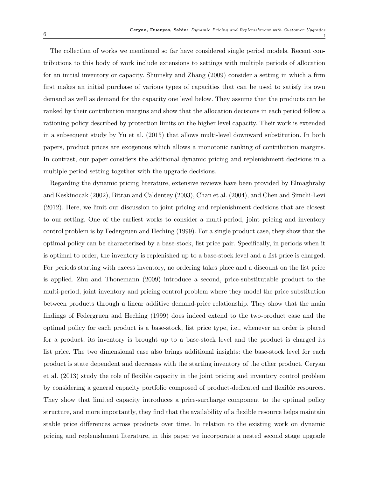The collection of works we mentioned so far have considered single period models. Recent contributions to this body of work include extensions to settings with multiple periods of allocation for an initial inventory or capacity. Shumsky and Zhang (2009) consider a setting in which a firm first makes an initial purchase of various types of capacities that can be used to satisfy its own demand as well as demand for the capacity one level below. They assume that the products can be ranked by their contribution margins and show that the allocation decisions in each period follow a rationing policy described by protection limits on the higher level capacity. Their work is extended in a subsequent study by Yu et al. (2015) that allows multi-level downward substitution. In both papers, product prices are exogenous which allows a monotonic ranking of contribution margins. In contrast, our paper considers the additional dynamic pricing and replenishment decisions in a multiple period setting together with the upgrade decisions.

Regarding the dynamic pricing literature, extensive reviews have been provided by Elmaghraby and Keskinocak (2002), Bitran and Caldentey (2003), Chan et al. (2004), and Chen and Simchi-Levi (2012). Here, we limit our discussion to joint pricing and replenishment decisions that are closest to our setting. One of the earliest works to consider a multi-period, joint pricing and inventory control problem is by Federgruen and Heching (1999). For a single product case, they show that the optimal policy can be characterized by a base-stock, list price pair. Specifically, in periods when it is optimal to order, the inventory is replenished up to a base-stock level and a list price is charged. For periods starting with excess inventory, no ordering takes place and a discount on the list price is applied. Zhu and Thonemann (2009) introduce a second, price-substitutable product to the multi-period, joint inventory and pricing control problem where they model the price substitution between products through a linear additive demand-price relationship. They show that the main findings of Federgruen and Heching (1999) does indeed extend to the two-product case and the optimal policy for each product is a base-stock, list price type, i.e., whenever an order is placed for a product, its inventory is brought up to a base-stock level and the product is charged its list price. The two dimensional case also brings additional insights: the base-stock level for each product is state dependent and decreases with the starting inventory of the other product. Ceryan et al. (2013) study the role of flexible capacity in the joint pricing and inventory control problem by considering a general capacity portfolio composed of product-dedicated and flexible resources. They show that limited capacity introduces a price-surcharge component to the optimal policy structure, and more importantly, they find that the availability of a flexible resource helps maintain stable price differences across products over time. In relation to the existing work on dynamic pricing and replenishment literature, in this paper we incorporate a nested second stage upgrade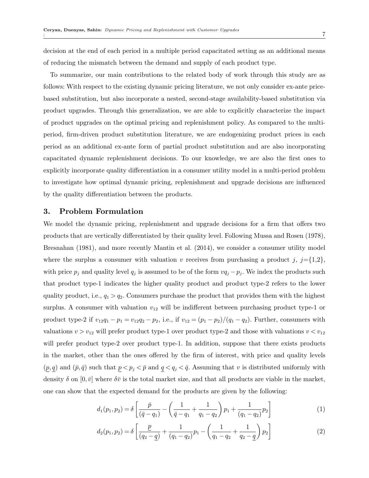decision at the end of each period in a multiple period capacitated setting as an additional means of reducing the mismatch between the demand and supply of each product type.

To summarize, our main contributions to the related body of work through this study are as follows: With respect to the existing dynamic pricing literature, we not only consider ex-ante pricebased substitution, but also incorporate a nested, second-stage availability-based substitution via product upgrades. Through this generalization, we are able to explicitly characterize the impact of product upgrades on the optimal pricing and replenishment policy. As compared to the multiperiod, firm-driven product substitution literature, we are endogenizing product prices in each period as an additional ex-ante form of partial product substitution and are also incorporating capacitated dynamic replenishment decisions. To our knowledge, we are also the first ones to explicitly incorporate quality differentiation in a consumer utility model in a multi-period problem to investigate how optimal dynamic pricing, replenishment and upgrade decisions are influenced by the quality differentiation between the products.

## 3. Problem Formulation

We model the dynamic pricing, replenishment and upgrade decisions for a firm that offers two products that are vertically differentiated by their quality level. Following Mussa and Rosen (1978), Bresnahan (1981), and more recently Mantin et al. (2014), we consider a consumer utility model where the surplus a consumer with valuation v receives from purchasing a product j,  $j = \{1,2\}$ , with price  $p_j$  and quality level  $q_j$  is assumed to be of the form  $vq_j - p_j$ . We index the products such that product type-1 indicates the higher quality product and product type-2 refers to the lower quality product, i.e.,  $q_1 > q_2$ . Consumers purchase the product that provides them with the highest surplus. A consumer with valuation  $v_{12}$  will be indifferent between purchasing product type-1 or product type-2 if  $v_{12}q_1 - p_1 = v_{12}q_2 - p_2$ , i.e., if  $v_{12} = (p_1 - p_2)/(q_1 - q_2)$ . Further, consumers with valuations  $v > v_{12}$  will prefer product type-1 over product type-2 and those with valuations  $v < v_{12}$ will prefer product type-2 over product type-1. In addition, suppose that there exists products in the market, other than the ones offered by the firm of interest, with price and quality levels  $(p, q)$  and  $(\bar{p}, \bar{q})$  such that  $p < p_j < \bar{p}$  and  $q < q_j < \bar{q}$ . Assuming that v is distributed uniformly with density  $\delta$  on  $[0, \bar{v}]$  where  $\delta \bar{v}$  is the total market size, and that all products are viable in the market, one can show that the expected demand for the products are given by the following:

$$
d_1(p_1, p_2) = \delta \left[ \frac{\bar{p}}{(\bar{q} - q_1)} - \left( \frac{1}{\bar{q} - q_1} + \frac{1}{q_1 - q_2} \right) p_1 + \frac{1}{(q_1 - q_2)} p_2 \right]
$$
(1)

$$
d_2(p_1, p_2) = \delta \left[ \frac{p}{(q_2 - \underline{q})} + \frac{1}{(q_1 - q_2)} p_1 - \left( \frac{1}{q_1 - q_2} + \frac{1}{q_2 - \underline{q}} \right) p_2 \right]
$$
(2)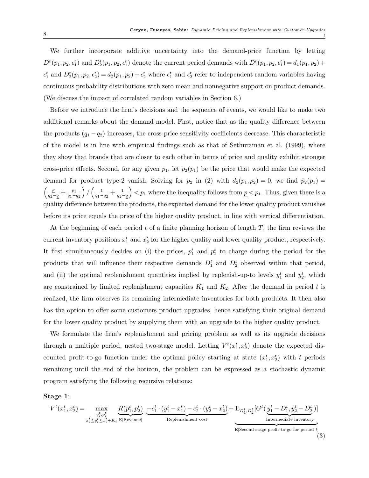We further incorporate additive uncertainty into the demand-price function by letting  $D_1^t(p_1, p_2, \epsilon_1^t)$  and  $D_2^t(p_1, p_2, \epsilon_1^t)$  denote the current period demands with  $D_1^t(p_1, p_2, \epsilon_1^t) = d_1(p_1, p_2) +$  $\epsilon_1^t$  and  $D_2^t(p_1, p_2, \epsilon_2^t) = d_2(p_1, p_2) + \epsilon_2^t$  where  $\epsilon_1^t$  and  $\epsilon_2^t$  refer to independent random variables having continuous probability distributions with zero mean and nonnegative support on product demands. (We discuss the impact of correlated random variables in Section 6.)

Before we introduce the firm's decisions and the sequence of events, we would like to make two additional remarks about the demand model. First, notice that as the quality difference between the products  $(q_1 - q_2)$  increases, the cross-price sensitivity coefficients decrease. This characteristic of the model is in line with empirical findings such as that of Sethuraman et al. (1999), where they show that brands that are closer to each other in terms of price and quality exhibit stronger cross-price effects. Second, for any given  $p_1$ , let  $\bar{p}_2(p_1)$  be the price that would make the expected demand for product type-2 vanish. Solving for  $p_2$  in (2) with  $d_2(p_1, p_2) = 0$ , we find  $\bar{p}_2(p_1) =$  $\left(\frac{p}{q_2-q}+\frac{p_1}{q_1-q_2}\right)$  $q_1 - q_2$  $\left(\frac{1}{q_1-q_2}+\frac{1}{q_2-q_3}\right)$  $\bigg\}< p_1$  where the inequality follows from  $p < p_1$ . Thus, given there is a quality difference between the products, the expected demand for the lower quality product vanishes before its price equals the price of the higher quality product, in line with vertical differentiation.

At the beginning of each period  $t$  of a finite planning horizon of length  $T$ , the firm reviews the current inventory positions  $x_1^t$  and  $x_2^t$  for the higher quality and lower quality product, respectively. It first simultaneously decides on (i) the prices,  $p_1^t$  and  $p_2^t$  to charge during the period for the products that will influence their respective demands  $D_1^t$  and  $D_2^t$  observed within that period, and (ii) the optimal replenishment quantities implied by replenish-up-to levels  $y_1^t$  and  $y_2^t$ , which are constrained by limited replenishment capacities  $K_1$  and  $K_2$ . After the demand in period t is realized, the firm observes its remaining intermediate inventories for both products. It then also has the option to offer some customers product upgrades, hence satisfying their original demand for the lower quality product by supplying them with an upgrade to the higher quality product.

We formulate the firm's replenishment and pricing problem as well as its upgrade decisions through a multiple period, nested two-stage model. Letting  $V^t(x_1^t, x_2^t)$  denote the expected discounted profit-to-go function under the optimal policy starting at state  $(x_1^t, x_2^t)$  with t periods remaining until the end of the horizon, the problem can be expressed as a stochastic dynamic program satisfying the following recursive relations:

#### Stage 1:

$$
V^{t}(x_1^{t}, x_2^{t}) = \max_{\substack{y_i^{t}, p_i^{t} \\ x_i^{t} \leq x_i^{t} + K_i}} \underbrace{R(p_1^{t}, p_2^{t})}_{\text{E[Revenue]}} - c_1^{t} \cdot (y_1^{t} - x_1^{t}) - c_2^{t} \cdot (y_2^{t} - x_2^{t}) + \text{E}_{D_1^{t}, D_2^{t}}[G^{t}(\underbrace{y_1^{t} - D_1^{t}, y_2^{t} - D_2^{t}}_{\text{Intermediate inventory}})]
$$
\n
$$
E[\text{Second-stage profit-to-go for period } t]
$$
\n(3)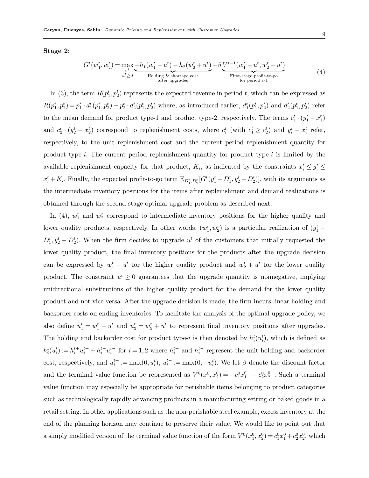Stage 2:

$$
G^{t}(w_{1}^{t}, w_{2}^{t}) = \max_{u^{t}} \underbrace{-h_{1}(w_{1}^{t} - u^{t}) - h_{2}(w_{2}^{t} + u^{t})}_{\text{Holding & shortage cost}} + \beta \underbrace{V^{t-1}(w_{1}^{t} - u^{t}, w_{2}^{t} + u^{t})}_{\text{First-stage profit-to-go}} \tag{4}
$$

In (3), the term  $R(p_1^t, p_2^t)$  represents the expected revenue in period t, which can be expressed as  $R(p_1^t, p_2^t) = p_1^t \cdot d_1^t(p_1^t, p_2^t) + p_2^t \cdot d_2^t(p_1^t, p_2^t)$  where, as introduced earlier,  $d_1^t(p_1^t, p_2^t)$  and  $d_2^t(p_1^t, p_2^t)$  refer to the mean demand for product type-1 and product type-2, respectively. The terms  $c_1^t \cdot (y_1^t - x_1^t)$ and  $c_2^t \cdot (y_2^t - x_2^t)$  correspond to replenishment costs, where  $c_i^t$  (with  $c_1^t \geq c_2^t$ ) and  $y_i^t - x_i^t$  refer, respectively, to the unit replenishment cost and the current period replenishment quantity for product type-i. The current period replenishment quantity for product type-i is limited by the available replenishment capacity for that product,  $K_i$ , as indicated by the constraints  $x_i^t \leq y_i^t \leq$  $x_i^t + K_i$ . Finally, the expected profit-to-go term  $E_{D_1^t, D_2^t}[G^t(y_1^t - D_1^t, y_2^t - D_2^t)]$ , with its arguments as the intermediate inventory positions for the items after replenishment and demand realizations is obtained through the second-stage optimal upgrade problem as described next.

In (4),  $w_1^t$  and  $w_2^t$  correspond to intermediate inventory positions for the higher quality and lower quality products, respectively. In other words,  $(w_1^t, w_2^t)$  is a particular realization of  $(y_1^t D_1^t, y_2^t - D_2^t$ ). When the firm decides to upgrade  $u^t$  of the customers that initially requested the lower quality product, the final inventory positions for the products after the upgrade decision can be expressed by  $w_1^t - u^t$  for the higher quality product and  $w_2^t + u^t$  for the lower quality product. The constraint  $u^t \geq 0$  guarantees that the upgrade quantity is nonnegative, implying unidirectional substitutions of the higher quality product for the demand for the lower quality product and not vice versa. After the upgrade decision is made, the firm incurs linear holding and backorder costs on ending inventories. To facilitate the analysis of the optimal upgrade policy, we also define  $u_1^t = w_1^t - u^t$  and  $u_2^t = w_2^t + u^t$  to represent final inventory positions after upgrades. The holding and backorder cost for product type-i is then denoted by  $h_i^t(u_i^t)$ , which is defined as  $h_i^t(u_i^t) := h_i^{t+} u_i^{t+} + h_i^{t-} u_i^{t-}$  for  $i = 1, 2$  where  $h_i^{t+}$  and  $h_i^{t-}$  represent the unit holding and backorder cost, respectively, and  $u_i^{t+} := \max(0, u_i^t), u_i^{t-} := \max(0, -u_i^t)$ . We let  $\beta$  denote the discount factor and the terminal value function be represented as  $V^0(x_1^0, x_2^0) = -c_1^0 x_1^{0-} - c_2^0 x_2^{0-}$ . Such a terminal value function may especially be appropriate for perishable items belonging to product categories such as technologically rapidly advancing products in a manufacturing setting or baked goods in a retail setting. In other applications such as the non-perishable steel example, excess inventory at the end of the planning horizon may continue to preserve their value. We would like to point out that a simply modified version of the terminal value function of the form  $V^0(x_1^0, x_2^0) = c_1^0 x_1^0 + c_2^0 x_2^0$ , which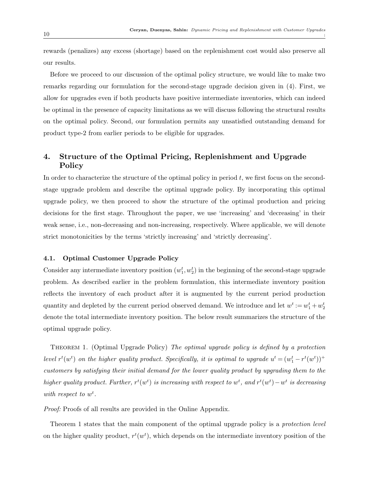rewards (penalizes) any excess (shortage) based on the replenishment cost would also preserve all our results.

Before we proceed to our discussion of the optimal policy structure, we would like to make two remarks regarding our formulation for the second-stage upgrade decision given in (4). First, we allow for upgrades even if both products have positive intermediate inventories, which can indeed be optimal in the presence of capacity limitations as we will discuss following the structural results on the optimal policy. Second, our formulation permits any unsatisfied outstanding demand for product type-2 from earlier periods to be eligible for upgrades.

## 4. Structure of the Optimal Pricing, Replenishment and Upgrade Policy

In order to characterize the structure of the optimal policy in period  $t$ , we first focus on the secondstage upgrade problem and describe the optimal upgrade policy. By incorporating this optimal upgrade policy, we then proceed to show the structure of the optimal production and pricing decisions for the first stage. Throughout the paper, we use 'increasing' and 'decreasing' in their weak sense, i.e., non-decreasing and non-increasing, respectively. Where applicable, we will denote strict monotonicities by the terms 'strictly increasing' and 'strictly decreasing'.

#### 4.1. Optimal Customer Upgrade Policy

Consider any intermediate inventory position  $(w_1^t, w_2^t)$  in the beginning of the second-stage upgrade problem. As described earlier in the problem formulation, this intermediate inventory position reflects the inventory of each product after it is augmented by the current period production quantity and depleted by the current period observed demand. We introduce and let  $w^t := w_1^t + w_2^t$ denote the total intermediate inventory position. The below result summarizes the structure of the optimal upgrade policy.

THEOREM 1. (Optimal Upgrade Policy) The optimal upgrade policy is defined by a protection level  $r^t(w^t)$  on the higher quality product. Specifically, it is optimal to upgrade  $u^t = (w_1^t - r^t(w^t))^+$ customers by satisfying their initial demand for the lower quality product by upgrading them to the higher quality product. Further,  $r^t(w^t)$  is increasing with respect to  $w^t$ , and  $r^t(w^t) - w^t$  is decreasing with respect to  $w^t$ .

Proof: Proofs of all results are provided in the Online Appendix.

Theorem 1 states that the main component of the optimal upgrade policy is a *protection level* on the higher quality product,  $r^t(w^t)$ , which depends on the intermediate inventory position of the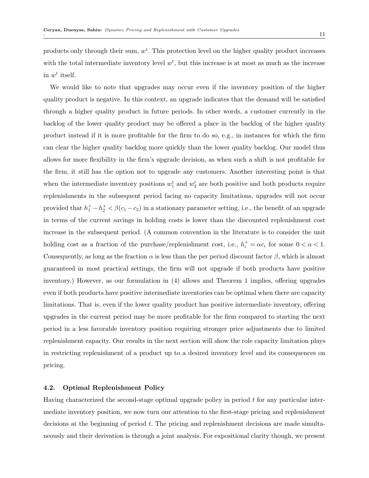products only through their sum,  $w<sup>t</sup>$ . This protection level on the higher quality product increases with the total intermediate inventory level  $w<sup>t</sup>$ , but this increase is at most as much as the increase in  $w^t$  itself.

We would like to note that upgrades may occur even if the inventory position of the higher quality product is negative. In this context, an upgrade indicates that the demand will be satisfied through a higher quality product in future periods. In other words, a customer currently in the backlog of the lower quality product may be offered a place in the backlog of the higher quality product instead if it is more profitable for the firm to do so, e.g., in instances for which the firm can clear the higher quality backlog more quickly than the lower quality backlog. Our model thus allows for more flexibility in the firm's upgrade decision, as when such a shift is not profitable for the firm, it still has the option not to upgrade any customers. Another interesting point is that when the intermediate inventory positions  $w_1^t$  and  $w_2^t$  are both positive and both products require replenishments in the subsequent period facing no capacity limitations, upgrades will not occur provided that  $h_1^+ - h_2^+ < \beta(c_1 - c_2)$  in a stationary parameter setting, i.e., the benefit of an upgrade in terms of the current savings in holding costs is lower than the discounted replenishment cost increase in the subsequent period. (A common convention in the literature is to consider the unit holding cost as a fraction of the purchase/replenishment cost, i.e.,  $h_i^+ = \alpha c_i$  for some  $0 < \alpha < 1$ . Consequently, as long as the fraction  $\alpha$  is less than the per period discount factor  $\beta$ , which is almost guaranteed in most practical settings, the firm will not upgrade if both products have positive inventory.) However, as our formulation in (4) allows and Theorem 1 implies, offering upgrades even if both products have positive intermediate inventories can be optimal when there are capacity limitations. That is, even if the lower quality product has positive intermediate inventory, offering upgrades in the current period may be more profitable for the firm compared to starting the next period in a less favorable inventory position requiring stronger price adjustments due to limited replenishment capacity. Our results in the next section will show the role capacity limitation plays in restricting replenishment of a product up to a desired inventory level and its consequences on pricing.

## 4.2. Optimal Replenishment Policy

Having characterized the second-stage optimal upgrade policy in period  $t$  for any particular intermediate inventory position, we now turn our attention to the first-stage pricing and replenishment decisions at the beginning of period t. The pricing and replenishment decisions are made simultaneously and their derivation is through a joint analysis. For expositional clarity though, we present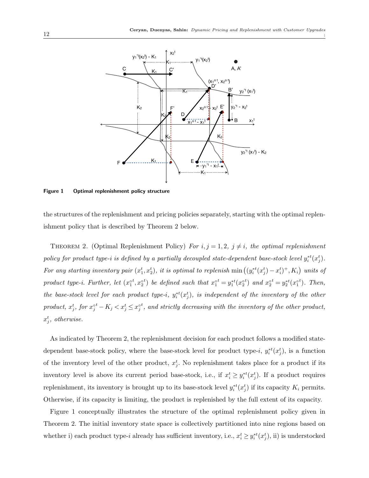

Figure 1 Optimal replenishment policy structure

the structures of the replenishment and pricing policies separately, starting with the optimal replenishment policy that is described by Theorem 2 below.

THEOREM 2. (Optimal Replenishment Policy) For  $i, j = 1, 2, j \neq i$ , the optimal replenishment policy for product type-i is defined by a partially decoupled state-dependent base-stock level  $y_i^{*t}(x_j^t)$ . For any starting inventory pair  $(x_1^t, x_2^t)$ , it is optimal to replenish  $\min((y_i^{*t}(x_j^t) - x_i^t)^+, K_i)$  units of product type-i. Further, let  $(x_1^{\circ t}, x_2^{\circ t})$  be defined such that  $x_1^{\circ t} = y_1^{*t}(x_2^{\circ t})$  and  $x_2^{\circ t} = y_2^{*t}(x_1^{\circ t})$ . Then, the base-stock level for each product type-i,  $y_i^{*t}(x_j^t)$ , is independent of the inventory of the other product,  $x_j^t$ , for  $x_j^{0t} - K_j < x_j^t \leq x_j^{0t}$ , and strictly decreasing with the inventory of the other product,  $x_j^t$ , otherwise.

As indicated by Theorem 2, the replenishment decision for each product follows a modified statedependent base-stock policy, where the base-stock level for product type-i,  $y_i^{*t}(x_j^t)$ , is a function of the inventory level of the other product,  $x_j^t$ . No replenishment takes place for a product if its inventory level is above its current period base-stock, i.e., if  $x_i^t \geq y_i^{*t}(x_j^t)$ . If a product requires replenishment, its inventory is brought up to its base-stock level  $y_i^{*t}(x_j^t)$  if its capacity  $K_i$  permits. Otherwise, if its capacity is limiting, the product is replenished by the full extent of its capacity.

Figure 1 conceptually illustrates the structure of the optimal replenishment policy given in Theorem 2. The initial inventory state space is collectively partitioned into nine regions based on whether i) each product type-i already has sufficient inventory, i.e.,  $x_i^t \geq y_i^{*t}(x_j^t)$ , ii) is understocked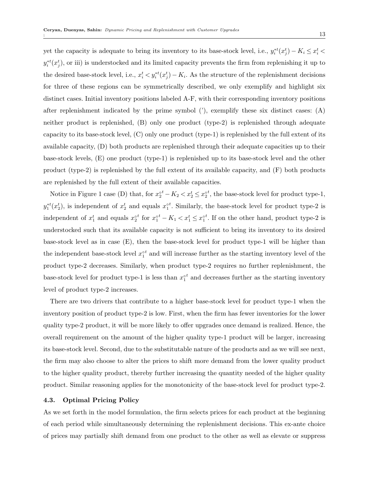yet the capacity is adequate to bring its inventory to its base-stock level, i.e.,  $y_i^{*t}(x_j^t) - K_i \leq x_i^t$  $y_i^{*t}(x_j^t)$ , or iii) is understocked and its limited capacity prevents the firm from replenishing it up to the desired base-stock level, i.e.,  $x_i^t < y_i^{*t}(x_j^t) - K_i$ . As the structure of the replenishment decisions for three of these regions can be symmetrically described, we only exemplify and highlight six distinct cases. Initial inventory positions labeled A-F, with their corresponding inventory positions after replenishment indicated by the prime symbol  $(')$ , exemplify these six distinct cases:  $(A)$ neither product is replenished, (B) only one product (type-2) is replenished through adequate capacity to its base-stock level,  $(C)$  only one product (type-1) is replenished by the full extent of its available capacity, (D) both products are replenished through their adequate capacities up to their base-stock levels, (E) one product (type-1) is replenished up to its base-stock level and the other product (type-2) is replenished by the full extent of its available capacity, and (F) both products are replenished by the full extent of their available capacities.

Notice in Figure 1 case (D) that, for  $x_2^{\circ t} - K_2 < x_2^t \le x_2^{\circ t}$ , the base-stock level for product type-1,  $y_1^{*t}(x_2^t)$ , is independent of  $x_2^t$  and equals  $x_1^{\circ t}$ . Similarly, the base-stock level for product type-2 is independent of  $x_1^t$  and equals  $x_2^{\circ t}$  for  $x_1^{\circ t} - K_1 < x_1^t \le x_1^{\circ t}$ . If on the other hand, product type-2 is understocked such that its available capacity is not sufficient to bring its inventory to its desired base-stock level as in case (E), then the base-stock level for product type-1 will be higher than the independent base-stock level  $x_1^{\circ t}$  and will increase further as the starting inventory level of the product type-2 decreases. Similarly, when product type-2 requires no further replenishment, the base-stock level for product type-1 is less than  $x_1^{\circ t}$  and decreases further as the starting inventory level of product type-2 increases.

There are two drivers that contribute to a higher base-stock level for product type-1 when the inventory position of product type-2 is low. First, when the firm has fewer inventories for the lower quality type-2 product, it will be more likely to offer upgrades once demand is realized. Hence, the overall requirement on the amount of the higher quality type-1 product will be larger, increasing its base-stock level. Second, due to the substitutable nature of the products and as we will see next, the firm may also choose to alter the prices to shift more demand from the lower quality product to the higher quality product, thereby further increasing the quantity needed of the higher quality product. Similar reasoning applies for the monotonicity of the base-stock level for product type-2.

#### 4.3. Optimal Pricing Policy

As we set forth in the model formulation, the firm selects prices for each product at the beginning of each period while simultaneously determining the replenishment decisions. This ex-ante choice of prices may partially shift demand from one product to the other as well as elevate or suppress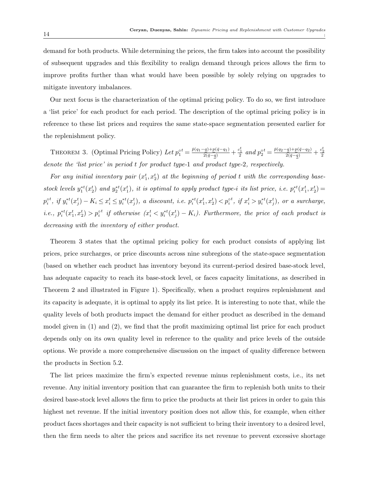demand for both products. While determining the prices, the firm takes into account the possibility of subsequent upgrades and this flexibility to realign demand through prices allows the firm to improve profits further than what would have been possible by solely relying on upgrades to mitigate inventory imbalances.

Our next focus is the characterization of the optimal pricing policy. To do so, we first introduce a 'list price' for each product for each period. The description of the optimal pricing policy is in reference to these list prices and requires the same state-space segmentation presented earlier for the replenishment policy.

THEOREM 3. (Optimal Pricing Policy) Let  $p_1^{\circ t} = \frac{\bar{p}(q_1 - \underline{q}) + \underline{p}(\bar{q} - q_1)}{2(\bar{q} - q)} + \frac{c_1^t}{2}$  and  $p_2^{\circ t} = \frac{\bar{p}(q_2 - \underline{q}) + \underline{p}(\bar{q} - q_2)}{2(\bar{q} - q)} + \frac{c_2^t}{2}$ denote the 'list price' in period t for product type-1 and product type-2, respectively.

For any initial inventory pair  $(x_1^t, x_2^t)$  at the beginning of period t with the corresponding basestock levels  $y_1^{*t}(x_2^t)$  and  $y_2^{*t}(x_1^t)$ , it is optimal to apply product type-i its list price, i.e.  $p_i^{*t}(x_1^t, x_2^t)$  =  $p_i^{ot}$ , if  $y_i^{*t}(x_j^t) - K_i \leq x_i^t \leq y_i^{*t}(x_j^t)$ , a discount, i.e.  $p_i^{*t}(x_1^t, x_2^t) < p_i^{ot}$ , if  $x_i^t > y_i^{*t}(x_j^t)$ , or a surcharge, *i.e.*,  $p_i^{*t}(x_1^t, x_2^t) > p_i^{\circ t}$  if otherwise  $(x_i^t < y_i^{*t}(x_j^t) - K_i)$ . Furthermore, the price of each product is decreasing with the inventory of either product.

Theorem 3 states that the optimal pricing policy for each product consists of applying list prices, price surcharges, or price discounts across nine subregions of the state-space segmentation (based on whether each product has inventory beyond its current-period desired base-stock level, has adequate capacity to reach its base-stock level, or faces capacity limitations, as described in Theorem 2 and illustrated in Figure 1). Specifically, when a product requires replenishment and its capacity is adequate, it is optimal to apply its list price. It is interesting to note that, while the quality levels of both products impact the demand for either product as described in the demand model given in (1) and (2), we find that the profit maximizing optimal list price for each product depends only on its own quality level in reference to the quality and price levels of the outside options. We provide a more comprehensive discussion on the impact of quality difference between the products in Section 5.2.

The list prices maximize the firm's expected revenue minus replenishment costs, i.e., its net revenue. Any initial inventory position that can guarantee the firm to replenish both units to their desired base-stock level allows the firm to price the products at their list prices in order to gain this highest net revenue. If the initial inventory position does not allow this, for example, when either product faces shortages and their capacity is not sufficient to bring their inventory to a desired level, then the firm needs to alter the prices and sacrifice its net revenue to prevent excessive shortage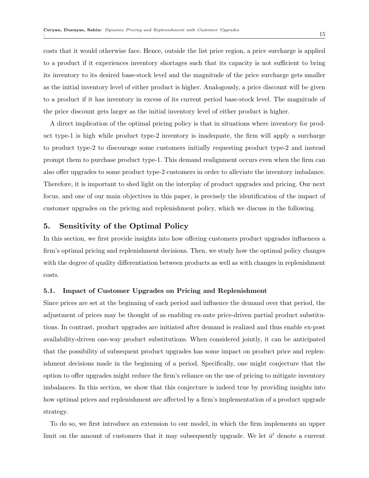costs that it would otherwise face. Hence, outside the list price region, a price surcharge is applied to a product if it experiences inventory shortages such that its capacity is not sufficient to bring its inventory to its desired base-stock level and the magnitude of the price surcharge gets smaller as the initial inventory level of either product is higher. Analogously, a price discount will be given to a product if it has inventory in excess of its current period base-stock level. The magnitude of the price discount gets larger as the initial inventory level of either product is higher.

A direct implication of the optimal pricing policy is that in situations where inventory for product type-1 is high while product type-2 inventory is inadequate, the firm will apply a surcharge to product type-2 to discourage some customers initially requesting product type-2 and instead prompt them to purchase product type-1. This demand realignment occurs even when the firm can also offer upgrades to some product type-2 customers in order to alleviate the inventory imbalance. Therefore, it is important to shed light on the interplay of product upgrades and pricing. Our next focus, and one of our main objectives in this paper, is precisely the identification of the impact of customer upgrades on the pricing and replenishment policy, which we discuss in the following.

## 5. Sensitivity of the Optimal Policy

In this section, we first provide insights into how offering customers product upgrades influences a firm's optimal pricing and replenishment decisions. Then, we study how the optimal policy changes with the degree of quality differentiation between products as well as with changes in replenishment costs.

## 5.1. Impact of Customer Upgrades on Pricing and Replenishment

Since prices are set at the beginning of each period and influence the demand over that period, the adjustment of prices may be thought of as enabling ex-ante price-driven partial product substitutions. In contrast, product upgrades are initiated after demand is realized and thus enable ex-post availability-driven one-way product substitutions. When considered jointly, it can be anticipated that the possibility of subsequent product upgrades has some impact on product price and replenishment decisions made in the beginning of a period. Specifically, one might conjecture that the option to offer upgrades might reduce the firm's reliance on the use of pricing to mitigate inventory imbalances. In this section, we show that this conjecture is indeed true by providing insights into how optimal prices and replenishment are affected by a firm's implementation of a product upgrade strategy.

To do so, we first introduce an extension to our model, in which the firm implements an upper limit on the amount of customers that it may subsequently upgrade. We let  $\bar{u}^t$  denote a current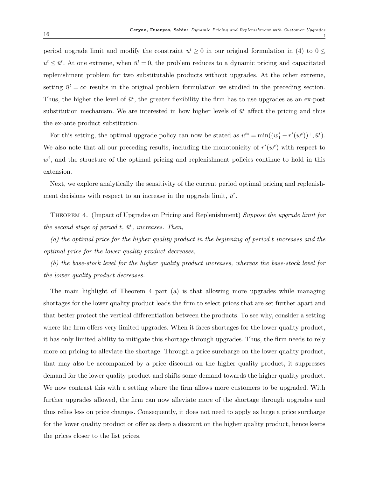period upgrade limit and modify the constraint  $u^t \geq 0$  in our original formulation in (4) to  $0 \leq$  $u^t \leq \bar{u}^t$ . At one extreme, when  $\bar{u}^t = 0$ , the problem reduces to a dynamic pricing and capacitated replenishment problem for two substitutable products without upgrades. At the other extreme, setting  $\bar{u}^t = \infty$  results in the original problem formulation we studied in the preceding section. Thus, the higher the level of  $\bar{u}^t$ , the greater flexibility the firm has to use upgrades as an ex-post substitution mechanism. We are interested in how higher levels of  $\bar{u}^t$  affect the pricing and thus the ex-ante product substitution.

For this setting, the optimal upgrade policy can now be stated as  $u^{t*} = \min((w_1^t - r^t(w^t))^+, \bar{u}^t)$ . We also note that all our preceding results, including the monotonicity of  $r^t(w^t)$  with respect to  $w<sup>t</sup>$ , and the structure of the optimal pricing and replenishment policies continue to hold in this extension.

Next, we explore analytically the sensitivity of the current period optimal pricing and replenishment decisions with respect to an increase in the upgrade limit,  $\bar{u}^t$ .

THEOREM 4. (Impact of Upgrades on Pricing and Replenishment) Suppose the upgrade limit for the second stage of period t,  $\bar{u}^t$ , increases. Then,

(a) the optimal price for the higher quality product in the beginning of period t increases and the optimal price for the lower quality product decreases,

(b) the base-stock level for the higher quality product increases, whereas the base-stock level for the lower quality product decreases.

The main highlight of Theorem 4 part (a) is that allowing more upgrades while managing shortages for the lower quality product leads the firm to select prices that are set further apart and that better protect the vertical differentiation between the products. To see why, consider a setting where the firm offers very limited upgrades. When it faces shortages for the lower quality product, it has only limited ability to mitigate this shortage through upgrades. Thus, the firm needs to rely more on pricing to alleviate the shortage. Through a price surcharge on the lower quality product, that may also be accompanied by a price discount on the higher quality product, it suppresses demand for the lower quality product and shifts some demand towards the higher quality product. We now contrast this with a setting where the firm allows more customers to be upgraded. With further upgrades allowed, the firm can now alleviate more of the shortage through upgrades and thus relies less on price changes. Consequently, it does not need to apply as large a price surcharge for the lower quality product or offer as deep a discount on the higher quality product, hence keeps the prices closer to the list prices.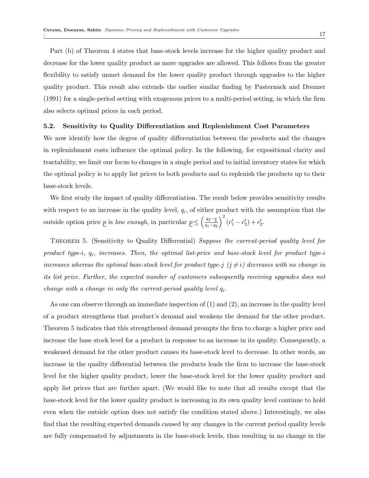Part (b) of Theorem 4 states that base-stock levels increase for the higher quality product and decrease for the lower quality product as more upgrades are allowed. This follows from the greater flexibility to satisfy unmet demand for the lower quality product through upgrades to the higher quality product. This result also extends the earlier similar finding by Pasternack and Drezner (1991) for a single-period setting with exogenous prices to a multi-period setting, in which the firm also selects optimal prices in each period.

## 5.2. Sensitivity to Quality Differentiation and Replenishment Cost Parameters

We now identify how the degree of quality differentiation between the products and the changes in replenishment costs influence the optimal policy. In the following, for expositional clarity and tractability, we limit our focus to changes in a single period and to initial inventory states for which the optimal policy is to apply list prices to both products and to replenish the products up to their base-stock levels.

We first study the impact of quality differentiation. The result below provides sensitivity results with respect to an increase in the quality level,  $q_i$ , of either product with the assumption that the outside option price p is low enough, in particular  $p \leq \left(\frac{q_2-q_1}{q_2-q_1}\right)$  $q_1 - q_2$  $\int_0^2 (c_1^t - c_2^t) + c_2^t.$ 

THEOREM 5. (Sensitivity to Quality Differential) Suppose the current-period quality level for product type-i,  $q_i$ , increases. Then, the optimal list-price and base-stock level for product type-i increases whereas the optimal base-stock level for product type-j  $(j \neq i)$  decreases with no change in its list price. Further, the expected number of customers subsequently receiving upgrades does not change with a change in only the current-period quality level  $q_i$ .

As one can observe through an immediate inspection of (1) and (2), an increase in the quality level of a product strengthens that product's demand and weakens the demand for the other product. Theorem 5 indicates that this strengthened demand prompts the firm to charge a higher price and increase the base stock level for a product in response to an increase in its quality. Consequently, a weakened demand for the other product causes its base-stock level to decrease. In other words, an increase in the quality differential between the products leads the firm to increase the base-stock level for the higher quality product, lower the base-stock level for the lower quality product and apply list prices that are further apart. (We would like to note that all results except that the base-stock level for the lower quality product is increasing in its own quality level continue to hold even when the outside option does not satisfy the condition stated above.) Interestingly, we also find that the resulting expected demands caused by any changes in the current period quality levels are fully compensated by adjustments in the base-stock levels, thus resulting in no change in the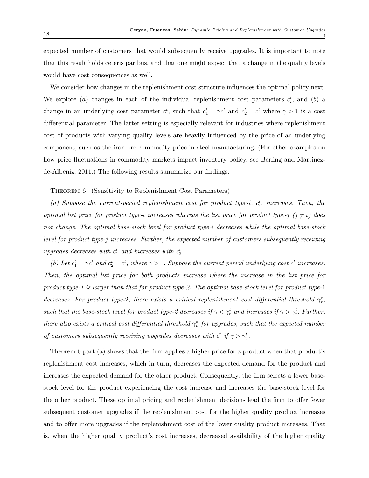expected number of customers that would subsequently receive upgrades. It is important to note that this result holds ceteris paribus, and that one might expect that a change in the quality levels would have cost consequences as well.

We consider how changes in the replenishment cost structure influences the optimal policy next. We explore (a) changes in each of the individual replenishment cost parameters  $c_i^t$ , and (b) a change in an underlying cost parameter  $c^t$ , such that  $c_1^t = \gamma c^t$  and  $c_2^t = c^t$  where  $\gamma > 1$  is a cost differential parameter. The latter setting is especially relevant for industries where replenishment cost of products with varying quality levels are heavily influenced by the price of an underlying component, such as the iron ore commodity price in steel manufacturing. (For other examples on how price fluctuations in commodity markets impact inventory policy, see Berling and Martinezde-Albeniz, 2011.) The following results summarize our findings.

#### THEOREM 6. (Sensitivity to Replenishment Cost Parameters)

(a) Suppose the current-period replenishment cost for product type-i,  $c_i^t$ , increases. Then, the optimal list price for product type-i increases whereas the list price for product type-j  $(j \neq i)$  does not change. The optimal base-stock level for product type-i decreases while the optimal base-stock level for product type-j increases. Further, the expected number of customers subsequently receiving upgrades decreases with  $c_1^t$  and increases with  $c_2^t$ .

(b) Let  $c_1^t = \gamma c^t$  and  $c_2^t = c^t$ , where  $\gamma > 1$ . Suppose the current period underlying cost  $c^t$  increases. Then, the optimal list price for both products increase where the increase in the list price for product type-1 is larger than that for product type-2. The optimal base-stock level for product type-1 decreases. For product type-2, there exists a critical replenishment cost differential threshold  $\gamma_r^t$ , such that the base-stock level for product type-2 decreases if  $\gamma < \gamma_r^t$  and increases if  $\gamma > \gamma_r^t$ . Further, there also exists a critical cost differential threshold  $\gamma_u^t$  for upgrades, such that the expected number of customers subsequently receiving upgrades decreases with  $c^t$  if  $\gamma > \gamma_u^t$ .

Theorem 6 part (a) shows that the firm applies a higher price for a product when that product's replenishment cost increases, which in turn, decreases the expected demand for the product and increases the expected demand for the other product. Consequently, the firm selects a lower basestock level for the product experiencing the cost increase and increases the base-stock level for the other product. These optimal pricing and replenishment decisions lead the firm to offer fewer subsequent customer upgrades if the replenishment cost for the higher quality product increases and to offer more upgrades if the replenishment cost of the lower quality product increases. That is, when the higher quality product's cost increases, decreased availability of the higher quality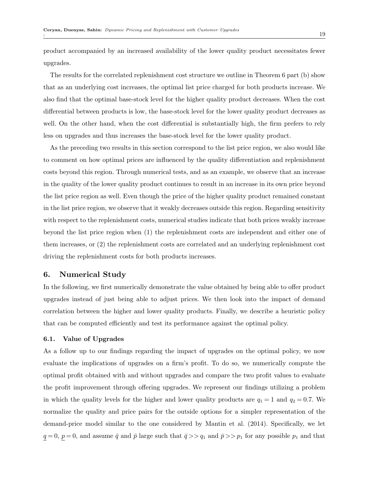product accompanied by an increased availability of the lower quality product necessitates fewer upgrades.

The results for the correlated replenishment cost structure we outline in Theorem 6 part (b) show that as an underlying cost increases, the optimal list price charged for both products increase. We also find that the optimal base-stock level for the higher quality product decreases. When the cost differential between products is low, the base-stock level for the lower quality product decreases as well. On the other hand, when the cost differential is substantially high, the firm prefers to rely less on upgrades and thus increases the base-stock level for the lower quality product.

As the preceding two results in this section correspond to the list price region, we also would like to comment on how optimal prices are influenced by the quality differentiation and replenishment costs beyond this region. Through numerical tests, and as an example, we observe that an increase in the quality of the lower quality product continues to result in an increase in its own price beyond the list price region as well. Even though the price of the higher quality product remained constant in the list price region, we observe that it weakly decreases outside this region. Regarding sensitivity with respect to the replenishment costs, numerical studies indicate that both prices weakly increase beyond the list price region when (1) the replenishment costs are independent and either one of them increases, or (2) the replenishment costs are correlated and an underlying replenishment cost driving the replenishment costs for both products increases.

## 6. Numerical Study

In the following, we first numerically demonstrate the value obtained by being able to offer product upgrades instead of just being able to adjust prices. We then look into the impact of demand correlation between the higher and lower quality products. Finally, we describe a heuristic policy that can be computed efficiently and test its performance against the optimal policy.

#### 6.1. Value of Upgrades

As a follow up to our findings regarding the impact of upgrades on the optimal policy, we now evaluate the implications of upgrades on a firm's profit. To do so, we numerically compute the optimal profit obtained with and without upgrades and compare the two profit values to evaluate the profit improvement through offering upgrades. We represent our findings utilizing a problem in which the quality levels for the higher and lower quality products are  $q_1 = 1$  and  $q_2 = 0.7$ . We normalize the quality and price pairs for the outside options for a simpler representation of the demand-price model similar to the one considered by Mantin et al. (2014). Specifically, we let  $q = 0$ ,  $p = 0$ , and assume  $\bar{q}$  and  $\bar{p}$  large such that  $\bar{q} >> q_1$  and  $\bar{p} >> p_1$  for any possible  $p_1$  and that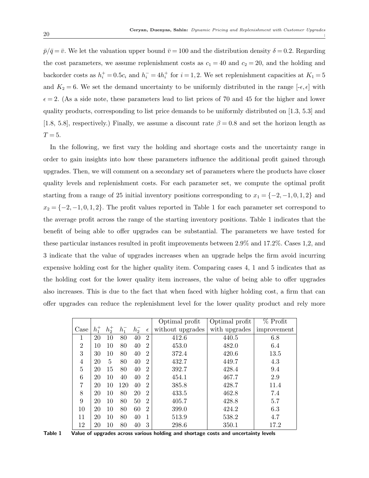$\bar{p}/\bar{q} = \bar{v}$ . We let the valuation upper bound  $\bar{v} = 100$  and the distribution density  $\delta = 0.2$ . Regarding the cost parameters, we assume replenishment costs as  $c_1 = 40$  and  $c_2 = 20$ , and the holding and backorder costs as  $h_i^+ = 0.5c_i$  and  $h_i^- = 4h_i^+$  for  $i = 1, 2$ . We set replenishment capacities at  $K_1 = 5$ and  $K_2 = 6$ . We set the demand uncertainty to be uniformly distributed in the range  $[-\epsilon, \epsilon]$  with  $\epsilon = 2$ . (As a side note, these parameters lead to list prices of 70 and 45 for the higher and lower quality products, corresponding to list price demands to be uniformly distributed on [1.3, 5.3] and [1.8, 5.8], respectively.) Finally, we assume a discount rate  $\beta = 0.8$  and set the horizon length as  $T = 5$ .

In the following, we first vary the holding and shortage costs and the uncertainty range in order to gain insights into how these parameters influence the additional profit gained through upgrades. Then, we will comment on a secondary set of parameters where the products have closer quality levels and replenishment costs. For each parameter set, we compute the optimal profit starting from a range of 25 initial inventory positions corresponding to  $x_1 = \{-2, -1, 0, 1, 2\}$  and  $x_2 = \{-2, -1, 0, 1, 2\}$ . The profit values reported in Table 1 for each parameter set correspond to the average profit across the range of the starting inventory positions. Table 1 indicates that the benefit of being able to offer upgrades can be substantial. The parameters we have tested for these particular instances resulted in profit improvements between 2.9% and 17.2%. Cases 1,2, and 3 indicate that the value of upgrades increases when an upgrade helps the firm avoid incurring expensive holding cost for the higher quality item. Comparing cases 4, 1 and 5 indicates that as the holding cost for the lower quality item increases, the value of being able to offer upgrades also increases. This is due to the fact that when faced with higher holding cost, a firm that can offer upgrades can reduce the replenishment level for the lower quality product and rely more

|                |         |         |         |         |                | Optimal profit   | Optimal profit | $%$ Profit  |
|----------------|---------|---------|---------|---------|----------------|------------------|----------------|-------------|
| Case           | $h_1^+$ | $h_2^+$ | $h_1^-$ | $h_2^-$ | $\epsilon$     | without upgrades | with upgrades  | improvement |
| 1              | 20      | 10      | 80      | 40      | $\overline{2}$ | 412.6            | 440.5          | 6.8         |
| $\overline{2}$ | 10      | 10      | 80      | 40      | $\overline{2}$ | 453.0            | 482.0          | 6.4         |
| 3              | 30      | 10      | 80      | 40      | $\overline{2}$ | 372.4            | 420.6          | 13.5        |
| 4              | 20      | 5       | 80      | 40      | $\overline{2}$ | 432.7            | 449.7          | 4.3         |
| $\overline{5}$ | 20      | 15      | 80      | 40      | $\overline{2}$ | 392.7            | 428.4          | 9.4         |
| 6              | 20      | 10      | 40      | 40      | $\overline{2}$ | 454.1            | 467.7          | 2.9         |
| 7              | 20      | 10      | 120     | 40      | $\overline{2}$ | 385.8            | 428.7          | 11.4        |
| 8              | 20      | 10      | 80      | 20      | $\overline{2}$ | 433.5            | 462.8          | 7.4         |
| 9              | 20      | 10      | 80      | 50      | $\overline{2}$ | 405.7            | 428.8          | 5.7         |
| 10             | 20      | 10      | 80      | 60      | $\overline{2}$ | 399.0            | 424.2          | 6.3         |
| 11             | 20      | 10      | 80      | 40      | 1              | 513.9            | 538.2          | 4.7         |
| 12             | 20      | 10      | 80      | 40      | 3              | 298.6            | 350.1          | 17.2        |

Table 1 Value of upgrades across various holding and shortage costs and uncertainty levels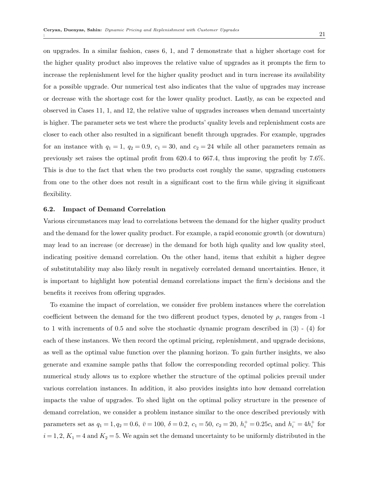on upgrades. In a similar fashion, cases 6, 1, and 7 demonstrate that a higher shortage cost for the higher quality product also improves the relative value of upgrades as it prompts the firm to increase the replenishment level for the higher quality product and in turn increase its availability for a possible upgrade. Our numerical test also indicates that the value of upgrades may increase or decrease with the shortage cost for the lower quality product. Lastly, as can be expected and observed in Cases 11, 1, and 12, the relative value of upgrades increases when demand uncertainty is higher. The parameter sets we test where the products' quality levels and replenishment costs are closer to each other also resulted in a significant benefit through upgrades. For example, upgrades for an instance with  $q_1 = 1$ ,  $q_2 = 0.9$ ,  $c_1 = 30$ , and  $c_2 = 24$  while all other parameters remain as previously set raises the optimal profit from 620.4 to 667.4, thus improving the profit by 7.6%. This is due to the fact that when the two products cost roughly the same, upgrading customers from one to the other does not result in a significant cost to the firm while giving it significant flexibility.

## 6.2. Impact of Demand Correlation

Various circumstances may lead to correlations between the demand for the higher quality product and the demand for the lower quality product. For example, a rapid economic growth (or downturn) may lead to an increase (or decrease) in the demand for both high quality and low quality steel, indicating positive demand correlation. On the other hand, items that exhibit a higher degree of substitutability may also likely result in negatively correlated demand uncertainties. Hence, it is important to highlight how potential demand correlations impact the firm's decisions and the benefits it receives from offering upgrades.

To examine the impact of correlation, we consider five problem instances where the correlation coefficient between the demand for the two different product types, denoted by  $\rho$ , ranges from -1 to 1 with increments of 0.5 and solve the stochastic dynamic program described in (3) - (4) for each of these instances. We then record the optimal pricing, replenishment, and upgrade decisions, as well as the optimal value function over the planning horizon. To gain further insights, we also generate and examine sample paths that follow the corresponding recorded optimal policy. This numerical study allows us to explore whether the structure of the optimal policies prevail under various correlation instances. In addition, it also provides insights into how demand correlation impacts the value of upgrades. To shed light on the optimal policy structure in the presence of demand correlation, we consider a problem instance similar to the once described previously with parameters set as  $q_1 = 1, q_2 = 0.6, \bar{v} = 100, \delta = 0.2, c_1 = 50, c_2 = 20, h_i^+ = 0.25c_i$  and  $h_i^- = 4h_i^+$  for  $i = 1, 2, K_1 = 4$  and  $K_2 = 5$ . We again set the demand uncertainty to be uniformly distributed in the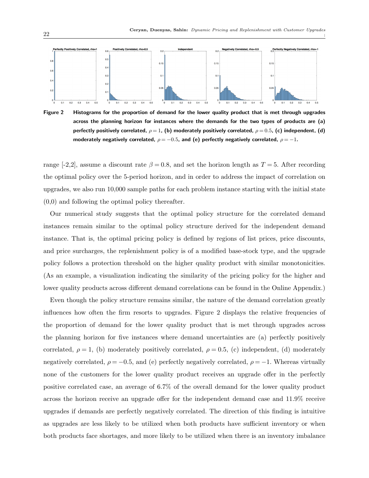

Figure 2 Histograms for the proportion of demand for the lower quality product that is met through upgrades across the planning horizon for instances where the demands for the two types of products are (a) perfectly positively correlated,  $\rho = 1$ , (b) moderately positively correlated,  $\rho = 0.5$ , (c) independent, (d) moderately negatively correlated,  $\rho = -0.5$ , and (e) perfectly negatively correlated,  $\rho = -1$ .

range [-2,2], assume a discount rate  $\beta = 0.8$ , and set the horizon length as  $T = 5$ . After recording the optimal policy over the 5-period horizon, and in order to address the impact of correlation on upgrades, we also run 10,000 sample paths for each problem instance starting with the initial state (0,0) and following the optimal policy thereafter.

Our numerical study suggests that the optimal policy structure for the correlated demand instances remain similar to the optimal policy structure derived for the independent demand instance. That is, the optimal pricing policy is defined by regions of list prices, price discounts, and price surcharges, the replenishment policy is of a modified base-stock type, and the upgrade policy follows a protection threshold on the higher quality product with similar monotonicities. (As an example, a visualization indicating the similarity of the pricing policy for the higher and lower quality products across different demand correlations can be found in the Online Appendix.)

Even though the policy structure remains similar, the nature of the demand correlation greatly influences how often the firm resorts to upgrades. Figure 2 displays the relative frequencies of the proportion of demand for the lower quality product that is met through upgrades across the planning horizon for five instances where demand uncertainties are (a) perfectly positively correlated,  $\rho = 1$ , (b) moderately positively correlated,  $\rho = 0.5$ , (c) independent, (d) moderately negatively correlated,  $\rho = -0.5$ , and (e) perfectly negatively correlated,  $\rho = -1$ . Whereas virtually none of the customers for the lower quality product receives an upgrade offer in the perfectly positive correlated case, an average of 6.7% of the overall demand for the lower quality product across the horizon receive an upgrade offer for the independent demand case and 11.9% receive upgrades if demands are perfectly negatively correlated. The direction of this finding is intuitive as upgrades are less likely to be utilized when both products have sufficient inventory or when both products face shortages, and more likely to be utilized when there is an inventory imbalance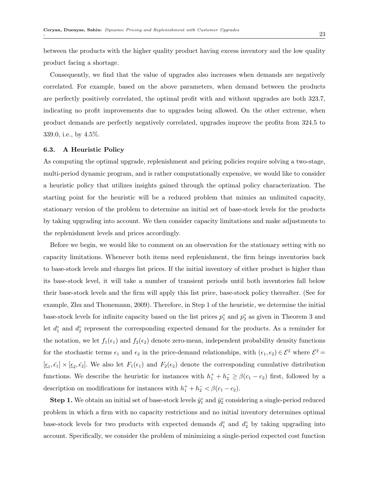between the products with the higher quality product having excess inventory and the low quality product facing a shortage.

Consequently, we find that the value of upgrades also increases when demands are negatively correlated. For example, based on the above parameters, when demand between the products are perfectly positively correlated, the optimal profit with and without upgrades are both 323.7, indicating no profit improvements due to upgrades being allowed. On the other extreme, when product demands are perfectly negatively correlated, upgrades improve the profits from 324.5 to 339.0, i.e., by 4.5%.

#### 6.3. A Heuristic Policy

As computing the optimal upgrade, replenishment and pricing policies require solving a two-stage, multi-period dynamic program, and is rather computationally expensive, we would like to consider a heuristic policy that utilizes insights gained through the optimal policy characterization. The starting point for the heuristic will be a reduced problem that mimics an unlimited capacity, stationary version of the problem to determine an initial set of base-stock levels for the products by taking upgrading into account. We then consider capacity limitations and make adjustments to the replenishment levels and prices accordingly.

Before we begin, we would like to comment on an observation for the stationary setting with no capacity limitations. Whenever both items need replenishment, the firm brings inventories back to base-stock levels and charges list prices. If the initial inventory of either product is higher than its base-stock level, it will take a number of transient periods until both inventories fall below their base-stock levels and the firm will apply this list price, base-stock policy thereafter. (See for example, Zhu and Thonemann, 2009). Therefore, in Step 1 of the heuristic, we determine the initial base-stock levels for infinite capacity based on the list prices  $p_1^{\circ}$  and  $p_2^{\circ}$  as given in Theorem 3 and let  $d_1^{\circ}$  and  $d_2^{\circ}$  represent the corresponding expected demand for the products. As a reminder for the notation, we let  $f_1(\epsilon_1)$  and  $f_2(\epsilon_2)$  denote zero-mean, independent probability density functions for the stochastic terms  $\epsilon_1$  and  $\epsilon_2$  in the price-demand relationships, with  $(\epsilon_1, \epsilon_2) \in \mathcal{E}^2$  where  $\mathcal{E}^2$  $[\epsilon_1, \bar{\epsilon_1}] \times [\epsilon_2, \bar{\epsilon_2}]$ . We also let  $F_1(\epsilon_1)$  and  $F_2(\epsilon_2)$  denote the corresponding cumulative distribution functions. We describe the heuristic for instances with  $h_1^+ + h_2^- \geq \beta(c_1 - c_2)$  first, followed by a description on modifications for instances with  $h_1^+ + h_2^- < \beta(c_1 - c_2)$ .

**Step 1.** We obtain an initial set of base-stock levels  $\hat{y}_1^{\circ}$  and  $\hat{y}_2^{\circ}$  considering a single-period reduced problem in which a firm with no capacity restrictions and no initial inventory determines optimal base-stock levels for two products with expected demands  $d_1^{\circ}$  and  $d_2^{\circ}$  by taking upgrading into account. Specifically, we consider the problem of minimizing a single-period expected cost function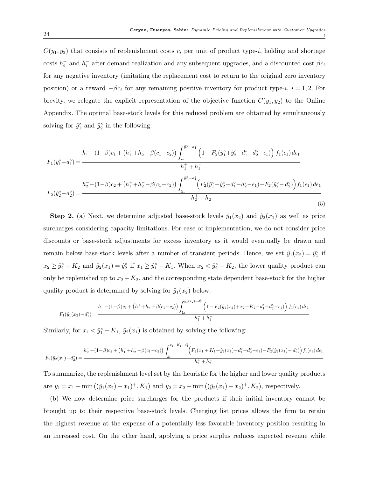$C(y_1, y_2)$  that consists of replenishment costs  $c_i$  per unit of product type-i, holding and shortage costs  $h_i^+$  and  $h_i^-$  after demand realization and any subsequent upgrades, and a discounted cost  $\beta c_i$ for any negative inventory (imitating the replacement cost to return to the original zero inventory position) or a reward  $-\beta c_i$  for any remaining positive inventory for product type-i,  $i = 1, 2$ . For brevity, we relegate the explicit representation of the objective function  $C(y_1, y_2)$  to the Online Appendix. The optimal base-stock levels for this reduced problem are obtained by simultaneously solving for  $\hat{y}_1^{\circ}$  and  $\hat{y}_2^{\circ}$  in the following:

$$
F_{1}(\hat{y}_{1}^{\circ} - d_{1}^{\circ}) = \frac{h_{1}^{-} - (1 - \beta)c_{1} + (h_{1}^{+} + h_{2}^{-} - \beta(c_{1} - c_{2})) \int_{\epsilon_{1}}^{\hat{y}_{1}^{\circ} - d_{1}^{\circ}} \left(1 - F_{2}(\hat{y}_{1}^{\circ} + \hat{y}_{2}^{\circ} - d_{1}^{\circ} - d_{2}^{\circ} - \epsilon_{1})\right) f_{1}(\epsilon_{1}) d\epsilon_{1}}{h_{1}^{+} + h_{1}^{-}}
$$
\n
$$
F_{2}(\hat{y}_{2}^{\circ} - d_{2}^{\circ}) = \frac{h_{2}^{-} - (1 - \beta)c_{2} + (h_{1}^{+} + h_{2}^{-} - \beta(c_{1} - c_{2})) \int_{\epsilon_{1}}^{\hat{y}_{1}^{\circ} - d_{1}^{\circ}} \left(F_{2}(\hat{y}_{1}^{\circ} + \hat{y}_{2}^{\circ} - d_{1}^{\circ} - d_{2}^{\circ} - \epsilon_{1}) - F_{2}(\hat{y}_{2}^{\circ} - d_{2}^{\circ})\right) f_{1}(\epsilon_{1}) d\epsilon_{1}}{h_{2}^{+} + h_{2}^{-}}
$$
\n
$$
(5)
$$

**Step 2.** (a) Next, we determine adjusted base-stock levels  $\hat{y}_1(x_2)$  and  $\hat{y}_2(x_1)$  as well as price surcharges considering capacity limitations. For ease of implementation, we do not consider price discounts or base-stock adjustments for excess inventory as it would eventually be drawn and remain below base-stock levels after a number of transient periods. Hence, we set  $\hat{y}_1(x_2) = \hat{y}_1^{\circ}$  if  $x_2 \geq \hat{y}_2^{\circ} - K_2$  and  $\hat{y}_2(x_1) = \hat{y}_2^{\circ}$  if  $x_1 \geq \hat{y}_1^{\circ} - K_1$ . When  $x_2 < \hat{y}_2^{\circ} - K_2$ , the lower quality product can only be replenished up to  $x_2 + K_2$ , and the corresponding state dependent base-stock for the higher quality product is determined by solving for  $\hat{y}_1(x_2)$  below:

$$
F_1(\hat{y}_1(x_2) - d_1^{\circ}) = \frac{h_1^- - (1 - \beta)c_1 + (h_1^+ + h_2^- - \beta(c_1 - c_2))\int_{\epsilon_1}^{\hat{y}_1(x_2) - d_1^{\circ}} \left(1 - F_2(\hat{y}_1(x_2) + x_2 + K_2 - d_1^{\circ} - d_2^{\circ} - \epsilon_1)\right) f_1(\epsilon_1) d\epsilon_1}{h_1^+ + h_1^-}
$$

Similarly, for  $x_1 < \hat{y}_1^{\circ} - K_1$ ,  $\hat{y}_2(x_1)$  is obtained by solving the following:

$$
F_2(\hat{y}_2(x_1) - d_2^{\circ}) = \frac{h_2^-(1-\beta)c_2 + (h_1^+ + h_2^- - \beta(c_1 - c_2))\int_{\epsilon_1}^{x_1 + K_1 - d_1^{\circ}} \left(F_2(x_1 + K_1 + \hat{y}_2(x_1) - d_1^{\circ} - d_2^{\circ} - \epsilon_1) - F_2(\hat{y}_2(x_1) - d_2^{\circ})\right) f_1(\epsilon_1) d\epsilon_1}{h_2^+ + h_2^-}
$$

To summarize, the replenishment level set by the heuristic for the higher and lower quality products are  $y_1 = x_1 + \min((\hat{y}_1(x_2) - x_1)^+, K_1)$  and  $y_2 = x_2 + \min((\hat{y}_2(x_1) - x_2)^+, K_2)$ , respectively.

(b) We now determine price surcharges for the products if their initial inventory cannot be brought up to their respective base-stock levels. Charging list prices allows the firm to retain the highest revenue at the expense of a potentially less favorable inventory position resulting in an increased cost. On the other hand, applying a price surplus reduces expected revenue while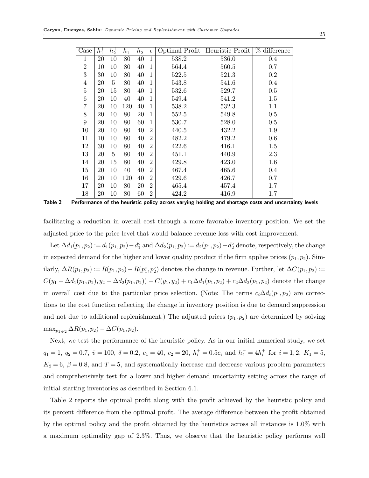| Case           | $h_1^+$ | $h_2^+$        | $h_1^-$ | $h_2^-$ | $\epsilon$     | Optimal Profit | Heuristic Profit | % difference |
|----------------|---------|----------------|---------|---------|----------------|----------------|------------------|--------------|
| 1              | 20      | 10             | 80      | 40      | $\mathbf{1}$   | 538.2          | 536.0            | 0.4          |
| 2              | 10      | 10             | 80      | 40      | $\mathbf{1}$   | 564.4          | 560.5            | 0.7          |
| 3              | 30      | 10             | 80      | 40      | 1              | 522.5          | 521.3            | 0.2          |
| $\overline{4}$ | 20      | 5              | 80      | 40      | 1              | 543.8          | 541.6            | 0.4          |
| 5              | 20      | 15             | 80      | 40      | 1              | 532.6          | 529.7            | 0.5          |
| 6              | 20      | 10             | 40      | 40      | 1              | 549.4          | 541.2            | 1.5          |
| 7              | 20      | 10             | 120     | 40      | 1              | 538.2          | 532.3            | 1.1          |
| 8              | 20      | 10             | 80      | 20      | $\mathbf 1$    | 552.5          | 549.8            | 0.5          |
| 9              | 20      | 10             | 80      | 60      | 1              | 530.7          | 528.0            | 0.5          |
| 10             | 20      | 10             | 80      | 40      | $\overline{2}$ | 440.5          | 432.2            | 1.9          |
| 11             | 10      | 10             | 80      | 40      | $\overline{2}$ | 482.2          | 479.2            | 0.6          |
| 12             | 30      | 10             | 80      | 40      | $\overline{2}$ | 422.6          | 416.1            | 1.5          |
| 13             | 20      | $\overline{5}$ | 80      | 40      | $\overline{2}$ | 451.1          | 440.9            | 2.3          |
| 14             | 20      | 15             | 80      | 40      | $\overline{2}$ | 429.8          | 423.0            | 1.6          |
| 15             | 20      | 10             | 40      | 40      | $\overline{2}$ | 467.4          | 465.6            | 0.4          |
| 16             | 20      | 10             | 120     | 40      | $\overline{2}$ | 429.6          | 426.7            | 0.7          |
| 17             | 20      | 10             | 80      | 20      | $\overline{2}$ | 465.4          | 457.4            | 1.7          |
| 18             | 20      | 10             | 80      | 60      | $\overline{2}$ | 424.2          | 416.9            | 1.7          |

Table 2 Performance of the heuristic policy across varying holding and shortage costs and uncertainty levels

facilitating a reduction in overall cost through a more favorable inventory position. We set the adjusted price to the price level that would balance revenue loss with cost improvement.

Let  $\Delta d_1(p_1, p_2) := d_1(p_1, p_2) - d_1^{\circ}$  and  $\Delta d_2(p_1, p_2) := d_2(p_1, p_2) - d_2^{\circ}$  denote, respectively, the change in expected demand for the higher and lower quality product if the firm applies prices  $(p_1, p_2)$ . Similarly,  $\Delta R(p_1, p_2) := R(p_1, p_2) - R(p_1^{\circ}, p_2^{\circ})$  denotes the change in revenue. Further, let  $\Delta C(p_1, p_2) :=$  $C(y_1 - \Delta d_1(p_1, p_2), y_2 - \Delta d_2(p_1, p_2)) - C(y_1, y_2) + c_1 \Delta d_1(p_1, p_2) + c_2 \Delta d_2(p_1, p_2)$  denote the change in overall cost due to the particular price selection. (Note: The terms  $c_i\Delta d_i(p_1, p_2)$  are corrections to the cost function reflecting the change in inventory position is due to demand suppression and not due to additional replenishment.) The adjusted prices  $(p_1, p_2)$  are determined by solving  $\max_{p_1,p_2} \Delta R(p_1,p_2) - \Delta C(p_1,p_2).$ 

Next, we test the performance of the heuristic policy. As in our initial numerical study, we set  $q_1 = 1, q_2 = 0.7, \bar{v} = 100, \delta = 0.2, c_1 = 40, c_2 = 20, h_i^+ = 0.5c_i \text{ and } h_i^- = 4h_i^+ \text{ for } i = 1, 2, K_1 = 5,$  $K_2 = 6$ ,  $\beta = 0.8$ , and  $T = 5$ , and systematically increase and decrease various problem parameters and comprehensively test for a lower and higher demand uncertainty setting across the range of initial starting inventories as described in Section 6.1.

Table 2 reports the optimal profit along with the profit achieved by the heuristic policy and its percent difference from the optimal profit. The average difference between the profit obtained by the optimal policy and the profit obtained by the heuristics across all instances is 1.0% with a maximum optimality gap of 2.3%. Thus, we observe that the heuristic policy performs well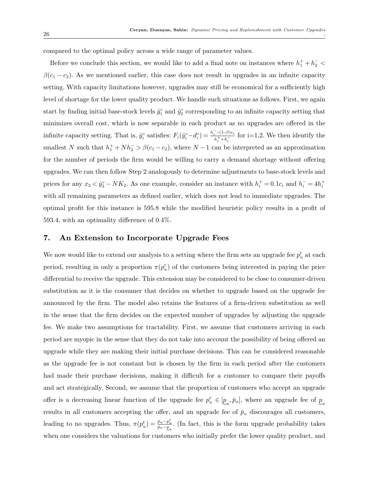compared to the optimal policy across a wide range of parameter values.

Before we conclude this section, we would like to add a final note on instances where  $h_1^+ + h_2^ \beta(c_1 - c_2)$ . As we mentioned earlier, this case does not result in upgrades in an infinite capacity setting. With capacity limitations however, upgrades may still be economical for a sufficiently high level of shortage for the lower quality product. We handle such situations as follows. First, we again start by finding initial base-stock levels  $\hat{y}_1^{\circ}$  and  $\hat{y}_2^{\circ}$  corresponding to an infinite capacity setting that minimizes overall cost, which is now separable in each product as no upgrades are offered in the infinite capacity setting. That is,  $\hat{y}_i^{\circ}$  satisfies:  $F_i(\hat{y}_i^{\circ} - d_i^{\circ}) = \frac{h_i^{\circ} - (1-\beta)c_i}{h_i^{\circ} + h_i^{\circ}}$  $\frac{(-1-\beta)c_i}{h_i^+ + h_i^-}$  for i=1,2. We then identify the smallest N such that  $h_1^+ + Nh_2^- > \beta(c_1-c_2)$ , where  $N-1$  can be interpreted as an approximation for the number of periods the firm would be willing to carry a demand shortage without offering upgrades. We can then follow Step 2 analogously to determine adjustments to base-stock levels and prices for any  $x_2 < \hat{y}_2^{\circ} - NK_2$ . As one example, consider an instance with  $h_i^+ = 0.1c_i$  and  $h_i^- = 4h_i^+$ with all remaining parameters as defined earlier, which does not lead to immediate upgrades. The optimal profit for this instance is 595.8 while the modified heuristic policy results in a profit of 593.4, with an optimality difference of 0.4%.

## 7. An Extension to Incorporate Upgrade Fees

We now would like to extend our analysis to a setting where the firm sets an upgrade fee  $p_u^t$  at each period, resulting in only a proportion  $\pi(p_u^t)$  of the customers being interested in paying the price differential to receive the upgrade. This extension may be considered to be close to consumer-driven substitution as it is the consumer that decides on whether to upgrade based on the upgrade fee announced by the firm. The model also retains the features of a firm-driven substitution as well in the sense that the firm decides on the expected number of upgrades by adjusting the upgrade fee. We make two assumptions for tractability. First, we assume that customers arriving in each period are myopic in the sense that they do not take into account the possibility of being offered an upgrade while they are making their initial purchase decisions. This can be considered reasonable as the upgrade fee is not constant but is chosen by the firm in each period after the customers had made their purchase decisions, making it difficult for a customer to compare their payoffs and act strategically. Second, we assume that the proportion of customers who accept an upgrade offer is a decreasing linear function of the upgrade fee  $p_u^t \in [\underline{p}_u, \bar{p}_u]$ , where an upgrade fee of  $\underline{p}_u$ results in all customers accepting the offer, and an upgrade fee of  $\bar{p}_u$  discourages all customers, leading to no upgrades. Thus,  $\pi(p_u^t) = \frac{\bar{p}_u - p_u^t}{\bar{p}_u - p_u}$ . (In fact, this is the form upgrade probability takes when one considers the valuations for customers who initially prefer the lower quality product, and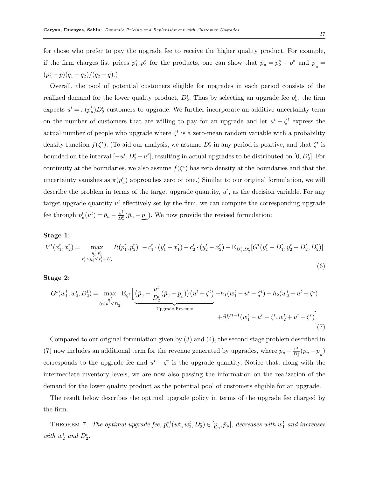for those who prefer to pay the upgrade fee to receive the higher quality product. For example, if the firm charges list prices  $p_1^{\circ}, p_2^{\circ}$  for the products, one can show that  $\bar{p}_u = p_2^{\circ} - p_1^{\circ}$  and  $\underline{p}_u =$  $(p_2^{\circ} - p)(q_1 - q_2)/(q_2 - q).$ 

Overall, the pool of potential customers eligible for upgrades in each period consists of the realized demand for the lower quality product,  $D_2^t$ . Thus by selecting an upgrade fee  $p_u^t$ , the firm expects  $u^t = \pi(p_u^t) D_2^t$  customers to upgrade. We further incorporate an additive uncertainty term on the number of customers that are willing to pay for an upgrade and let  $u^t + \zeta^t$  express the actual number of people who upgrade where  $\zeta^t$  is a zero-mean random variable with a probability density function  $f(\zeta^t)$ . (To aid our analysis, we assume  $D_2^t$  in any period is positive, and that  $\zeta^t$  is bounded on the interval  $[-u^t, D_2^t - u^t]$ , resulting in actual upgrades to be distributed on  $[0, D_2^t]$ . For continuity at the boundaries, we also assume  $f(\zeta^t)$  has zero density at the boundaries and that the uncertainty vanishes as  $\pi(p_u^t)$  approaches zero or one.) Similar to our original formulation, we will describe the problem in terms of the target upgrade quantity,  $u^t$ , as the decision variable. For any target upgrade quantity  $u^t$  effectively set by the firm, we can compute the corresponding upgrade fee through  $p_u^t(u^t) = \bar{p}_u - \frac{u^t}{D_s^t}$  $\frac{u^{\iota}}{D_2^{\iota}}(\bar{p}_u - \underline{p}_u)$ . We now provide the revised formulation:

#### Stage 1:

$$
V^{t}(x_{1}^{t}, x_{2}^{t}) = \max_{\substack{y_{i}^{t}, p_{i}^{t} \\ x_{i}^{t} \leq x_{i}^{t} + K_{i}}} R(p_{1}^{t}, p_{2}^{t}) - c_{1}^{t} \cdot (y_{1}^{t} - x_{1}^{t}) - c_{2}^{t} \cdot (y_{2}^{t} - x_{2}^{t}) + \mathcal{E}_{D_{1}^{t}, D_{2}^{t}} [G^{t}(y_{1}^{t} - D_{1}^{t}, y_{2}^{t} - D_{2}^{t}, D_{2}^{t})]
$$
\n
$$
(6)
$$

Stage 2:

$$
G^{t}(w_{1}^{t}, w_{2}^{t}, D_{2}^{t}) = \max_{\substack{u^{t} \\ 0 \le u^{t} \le D_{2}^{t}}} \mathbb{E}_{\zeta^{t}} \Big[ \underbrace{\left(\bar{p}_{u} - \frac{u^{t}}{D_{2}^{t}} (\bar{p}_{u} - \underline{p}_{u})\right) \left(u^{t} + \zeta^{t}\right) - h_{1}(w_{1}^{t} - u^{t} - \zeta^{t}) - h_{2}(w_{2}^{t} + u^{t} + \zeta^{t})}{u_{\text{pgrade Revenue}}} + \beta V^{t-1}(w_{1}^{t} - u^{t} - \zeta^{t}, w_{2}^{t} + u^{t} + \zeta^{t})\Big] \tag{7}
$$

Compared to our original formulation given by (3) and (4), the second stage problem described in (7) now includes an additional term for the revenue generated by upgrades, where  $\bar{p}_u - \frac{u^t}{D^t}$  $\frac{u^{\iota}}{D_2^t}(\bar{p}_u-\underline{p}_u)$ corresponds to the upgrade fee and  $u^t + \zeta^t$  is the upgrade quantity. Notice that, along with the intermediate inventory levels, we are now also passing the information on the realization of the demand for the lower quality product as the potential pool of customers eligible for an upgrade.

The result below describes the optimal upgrade policy in terms of the upgrade fee charged by the firm.

THEOREM 7. The optimal upgrade fee,  $p_u^{*t}(w_1^t, w_2^t, D_2^t) \in [\underline{p}_u, \bar{p}_u]$ , decreases with  $w_1^t$  and increases with  $w_2^t$  and  $D_2^t$ .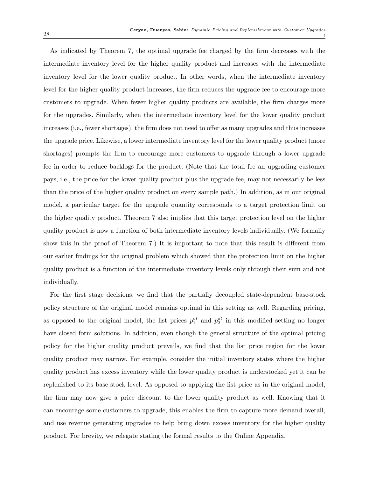As indicated by Theorem 7, the optimal upgrade fee charged by the firm decreases with the intermediate inventory level for the higher quality product and increases with the intermediate inventory level for the lower quality product. In other words, when the intermediate inventory level for the higher quality product increases, the firm reduces the upgrade fee to encourage more customers to upgrade. When fewer higher quality products are available, the firm charges more for the upgrades. Similarly, when the intermediate inventory level for the lower quality product increases (i.e., fewer shortages), the firm does not need to offer as many upgrades and thus increases the upgrade price. Likewise, a lower intermediate inventory level for the lower quality product (more shortages) prompts the firm to encourage more customers to upgrade through a lower upgrade fee in order to reduce backlogs for the product. (Note that the total fee an upgrading customer pays, i.e., the price for the lower quality product plus the upgrade fee, may not necessarily be less than the price of the higher quality product on every sample path.) In addition, as in our original model, a particular target for the upgrade quantity corresponds to a target protection limit on the higher quality product. Theorem 7 also implies that this target protection level on the higher quality product is now a function of both intermediate inventory levels individually. (We formally show this in the proof of Theorem 7.) It is important to note that this result is different from our earlier findings for the original problem which showed that the protection limit on the higher quality product is a function of the intermediate inventory levels only through their sum and not individually.

For the first stage decisions, we find that the partially decoupled state-dependent base-stock policy structure of the original model remains optimal in this setting as well. Regarding pricing, as opposed to the original model, the list prices  $p_1^{c^t}$  and  $p_2^{c^t}$  in this modified setting no longer have closed form solutions. In addition, even though the general structure of the optimal pricing policy for the higher quality product prevails, we find that the list price region for the lower quality product may narrow. For example, consider the initial inventory states where the higher quality product has excess inventory while the lower quality product is understocked yet it can be replenished to its base stock level. As opposed to applying the list price as in the original model, the firm may now give a price discount to the lower quality product as well. Knowing that it can encourage some customers to upgrade, this enables the firm to capture more demand overall, and use revenue generating upgrades to help bring down excess inventory for the higher quality product. For brevity, we relegate stating the formal results to the Online Appendix.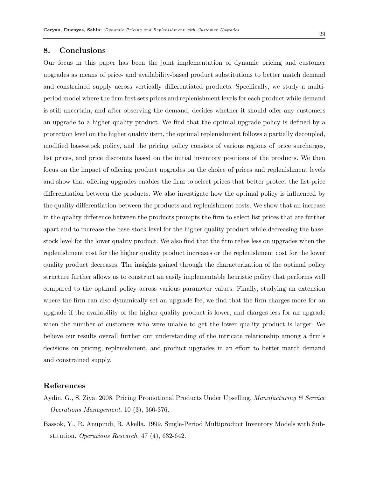## 8. Conclusions

Our focus in this paper has been the joint implementation of dynamic pricing and customer upgrades as means of price- and availability-based product substitutions to better match demand and constrained supply across vertically differentiated products. Specifically, we study a multiperiod model where the firm first sets prices and replenishment levels for each product while demand is still uncertain, and after observing the demand, decides whether it should offer any customers an upgrade to a higher quality product. We find that the optimal upgrade policy is defined by a protection level on the higher quality item, the optimal replenishment follows a partially decoupled, modified base-stock policy, and the pricing policy consists of various regions of price surcharges, list prices, and price discounts based on the initial inventory positions of the products. We then focus on the impact of offering product upgrades on the choice of prices and replenishment levels and show that offering upgrades enables the firm to select prices that better protect the list-price differentiation between the products. We also investigate how the optimal policy is influenced by the quality differentiation between the products and replenishment costs. We show that an increase in the quality difference between the products prompts the firm to select list prices that are further apart and to increase the base-stock level for the higher quality product while decreasing the basestock level for the lower quality product. We also find that the firm relies less on upgrades when the replenishment cost for the higher quality product increases or the replenishment cost for the lower quality product decreases. The insights gained through the characterization of the optimal policy structure further allows us to construct an easily implementable heuristic policy that performs well compared to the optimal policy across various parameter values. Finally, studying an extension where the firm can also dynamically set an upgrade fee, we find that the firm charges more for an upgrade if the availability of the higher quality product is lower, and charges less for an upgrade when the number of customers who were unable to get the lower quality product is larger. We believe our results overall further our understanding of the intricate relationship among a firm's decisions on pricing, replenishment, and product upgrades in an effort to better match demand and constrained supply.

## References

- Aydin, G., S. Ziya. 2008. Pricing Promotional Products Under Upselling. Manufacturing & Service Operations Management, 10 (3), 360-376.
- Bassok, Y., R. Anupindi, R. Akella. 1999. Single-Period Multiproduct Inventory Models with Substitution. Operations Research, 47 (4), 632-642.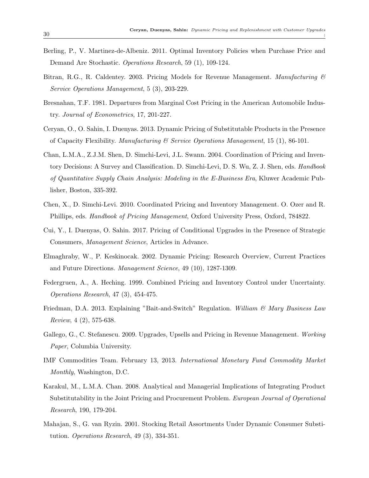- Berling, P., V. Martinez-de-Albeniz. 2011. Optimal Inventory Policies when Purchase Price and Demand Are Stochastic. Operations Research, 59 (1), 109-124.
- Bitran, R.G., R. Caldentey. 2003. Pricing Models for Revenue Management. Manufacturing  $\mathcal{B}$ Service Operations Management, 5 (3), 203-229.
- Bresnahan, T.F. 1981. Departures from Marginal Cost Pricing in the American Automobile Industry. Journal of Econometrics, 17, 201-227.
- Ceryan, O., O. Sahin, I. Duenyas. 2013. Dynamic Pricing of Substitutable Products in the Presence of Capacity Flexibility. Manufacturing  $\mathcal C$  Service Operations Management, 15 (1), 86-101.
- Chan, L.M.A., Z.J.M. Shen, D. Simchi-Levi, J.L. Swann. 2004. Coordination of Pricing and Inventory Decisions: A Survey and Classification. D. Simchi-Levi, D. S. Wu, Z. J. Shen, eds. Handbook of Quantitative Supply Chain Analysis: Modeling in the E-Business Era, Kluwer Academic Publisher, Boston, 335-392.
- Chen, X., D. Simchi-Levi. 2010. Coordinated Pricing and Inventory Management. O. Ozer and R. Phillips, eds. Handbook of Pricing Management, Oxford University Press, Oxford, 784822.
- Cui, Y., I. Duenyas, O. Sahin. 2017. Pricing of Conditional Upgrades in the Presence of Strategic Consumers, Management Science, Articles in Advance.
- Elmaghraby, W., P. Keskinocak. 2002. Dynamic Pricing: Research Overview, Current Practices and Future Directions. Management Science, 49 (10), 1287-1309.
- Federgruen, A., A. Heching. 1999. Combined Pricing and Inventory Control under Uncertainty. Operations Research, 47 (3), 454-475.
- Friedman, D.A. 2013. Explaining "Bait-and-Switch" Regulation. William  $\mathcal{B}$  Mary Business Law Review, 4 (2), 575-638.
- Gallego, G., C. Stefanescu. 2009. Upgrades, Upsells and Pricing in Revenue Management. Working Paper, Columbia University.
- IMF Commodities Team. February 13, 2013. International Monetary Fund Commodity Market Monthly, Washington, D.C.
- Karakul, M., L.M.A. Chan. 2008. Analytical and Managerial Implications of Integrating Product Substitutability in the Joint Pricing and Procurement Problem. European Journal of Operational Research, 190, 179-204.
- Mahajan, S., G. van Ryzin. 2001. Stocking Retail Assortments Under Dynamic Consumer Substitution. Operations Research, 49 (3), 334-351.